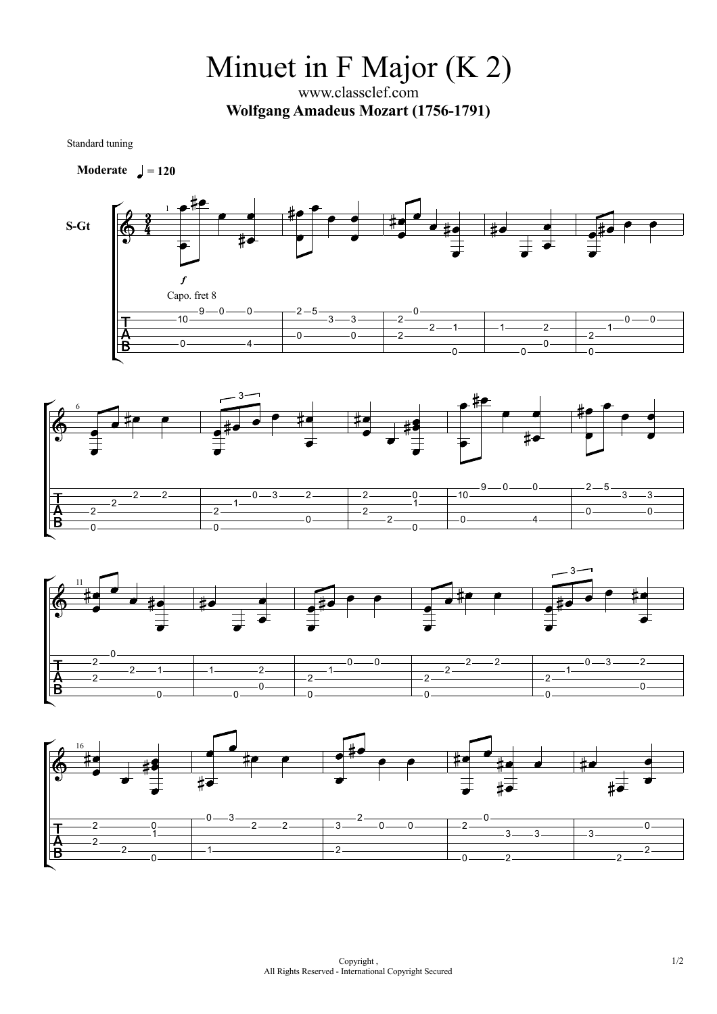Minuet in F Major (K 2)

www.classclef.com **Wolfgang Amadeus Mozart (1756-1791)**

Standard tuning

**Moderate**  $= 120$